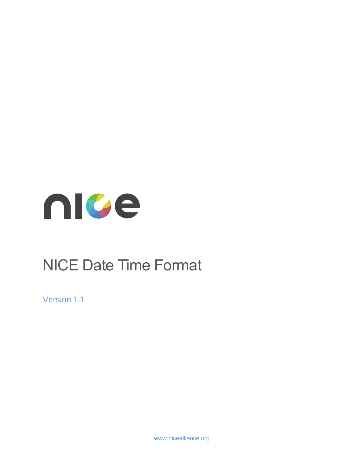

# NICE Date Time Format

Version 1.1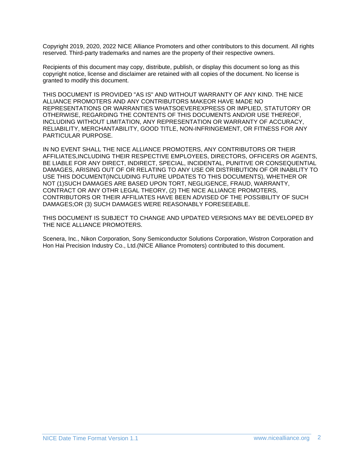Copyright 2019, 2020, 2022 NICE Alliance Promoters and other contributors to this document. All rights reserved. Third-party trademarks and names are the property of their respective owners.

Recipients of this document may copy, distribute, publish, or display this document so long as this copyright notice, license and disclaimer are retained with all copies of the document. No license is granted to modify this document.

THIS DOCUMENT IS PROVIDED "AS IS" AND WITHOUT WARRANTY OF ANY KIND. THE NICE ALLIANCE PROMOTERS AND ANY CONTRIBUTORS MAKEOR HAVE MADE NO REPRESENTATIONS OR WARRANTIES WHATSOEVEREXPRESS OR IMPLIED, STATUTORY OR OTHERWISE, REGARDING THE CONTENTS OF THIS DOCUMENTS AND/OR USE THEREOF, INCLUDING WITHOUT LIMITATION, ANY REPRESENTATION OR WARRANTY OF ACCURACY, RELIABILITY, MERCHANTABILITY, GOOD TITLE, NON-INFRINGEMENT, OR FITNESS FOR ANY PARTICULAR PURPOSE.

IN NO EVENT SHALL THE NICE ALLIANCE PROMOTERS, ANY CONTRIBUTORS OR THEIR AFFILIATES,INCLUDING THEIR RESPECTIVE EMPLOYEES, DIRECTORS, OFFICERS OR AGENTS, BE LIABLE FOR ANY DIRECT, INDIRECT, SPECIAL, INCIDENTAL, PUNITIVE OR CONSEQUENTIAL DAMAGES, ARISING OUT OF OR RELATING TO ANY USE OR DISTRIBUTION OF OR INABILITY TO USE THIS DOCUMENT(INCLUDING FUTURE UPDATES TO THIS DOCUMENTS), WHETHER OR NOT (1)SUCH DAMAGES ARE BASED UPON TORT, NEGLIGENCE, FRAUD, WARRANTY, CONTRACT OR ANY OTHR LEGAL THEORY, (2) THE NICE ALLIANCE PROMOTERS, CONTRIBUTORS OR THEIR AFFILIATES HAVE BEEN ADVISED OF THE POSSIBILITY OF SUCH DAMAGES;OR (3) SUCH DAMAGES WERE REASONABLY FORESEEABLE.

THIS DOCUMENT IS SUBJECT TO CHANGE AND UPDATED VERSIONS MAY BE DEVELOPED BY THE NICE ALLIANCE PROMOTERS.

Scenera, Inc., Nikon Corporation, Sony Semiconductor Solutions Corporation, Wistron Corporation and Hon Hai Precision Industry Co., Ltd.(NICE Alliance Promoters) contributed to this document.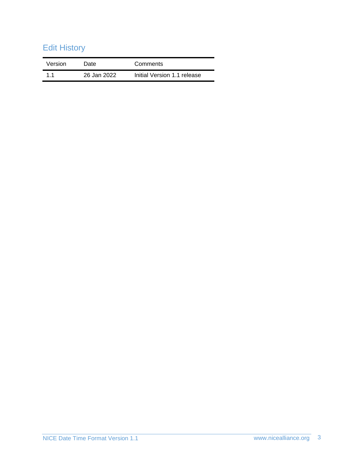# Edit History

| Version | Date        | Comments                    |
|---------|-------------|-----------------------------|
| 11      | 26 Jan 2022 | Initial Version 1.1 release |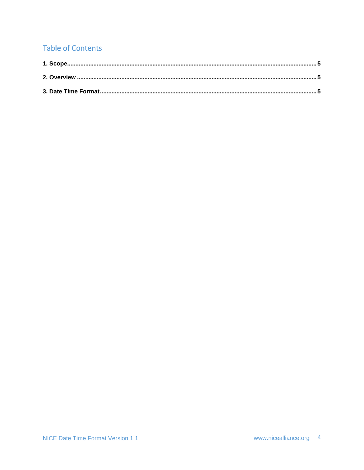## **Table of Contents**